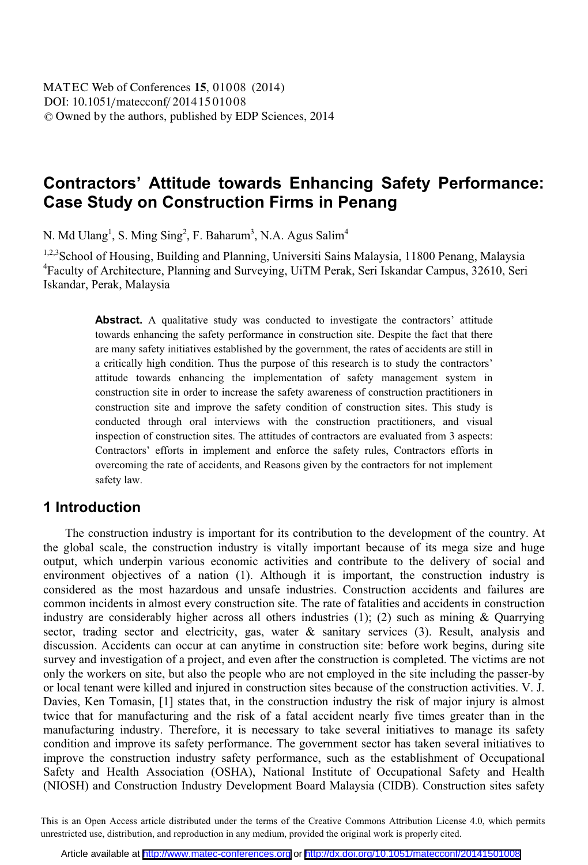# **Contractors' Attitude towards Enhancing Safety Performance: Case Study on Construction Firms in Penang**

N. Md Ulang<sup>1</sup>, S. Ming  $\text{Sing}^2$ , F. Baharum<sup>3</sup>, N.A. Agus  $\text{Salim}^4$ 

<sup>1,2,3</sup>School of Housing, Building and Planning, Universiti Sains Malaysia, 11800 Penang, Malaysia Faculty of Architecture, Planning and Surveying, UiTM Perak, Seri Iskandar Campus, 32610, Seri Iskandar, Perak, Malaysia

> Abstract. A qualitative study was conducted to investigate the contractors' attitude towards enhancing the safety performance in construction site. Despite the fact that there are many safety initiatives established by the government, the rates of accidents are still in a critically high condition. Thus the purpose of this research is to study the contractors' attitude towards enhancing the implementation of safety management system in construction site in order to increase the safety awareness of construction practitioners in construction site and improve the safety condition of construction sites. This study is conducted through oral interviews with the construction practitioners, and visual inspection of construction sites. The attitudes of contractors are evaluated from 3 aspects: Contractors' efforts in implement and enforce the safety rules, Contractors efforts in overcoming the rate of accidents, and Reasons given by the contractors for not implement safety law.

### **1 Introduction**

The construction industry is important for its contribution to the development of the country. At the global scale, the construction industry is vitally important because of its mega size and huge output, which underpin various economic activities and contribute to the delivery of social and environment objectives of a nation (1). Although it is important, the construction industry is considered as the most hazardous and unsafe industries. Construction accidents and failures are common incidents in almost every construction site. The rate of fatalities and accidents in construction industry are considerably higher across all others industries  $(1)$ ;  $(2)$  such as mining & Quarrying sector, trading sector and electricity, gas, water  $\&$  sanitary services (3). Result, analysis and discussion. Accidents can occur at can anytime in construction site: before work begins, during site survey and investigation of a project, and even after the construction is completed. The victims are not only the workers on site, but also the people who are not employed in the site including the passer-by or local tenant were killed and injured in construction sites because of the construction activities. V. J. Davies, Ken Tomasin, [1] states that, in the construction industry the risk of major injury is almost twice that for manufacturing and the risk of a fatal accident nearly five times greater than in the manufacturing industry. Therefore, it is necessary to take several initiatives to manage its safety condition and improve its safety performance. The government sector has taken several initiatives to improve the construction industry safety performance, such as the establishment of Occupational Safety and Health Association (OSHA), National Institute of Occupational Safety and Health (NIOSH) and Construction Industry Development Board Malaysia (CIDB). Construction sites safety

This is an Open Access article distributed under the terms of the Creative Commons Attribution License 4.0, which permits unrestricted use, distribution, and reproduction in any medium, provided the original work is properly cited.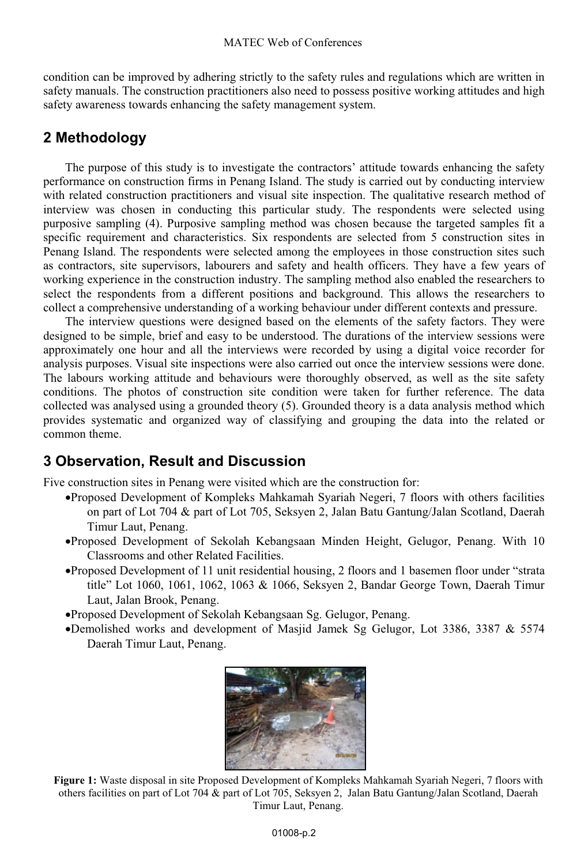condition can be improved by adhering strictly to the safety rules and regulations which are written in safety manuals. The construction practitioners also need to possess positive working attitudes and high safety awareness towards enhancing the safety management system.

## **2 Methodology**

The purpose of this study is to investigate the contractors' attitude towards enhancing the safety performance on construction firms in Penang Island. The study is carried out by conducting interview with related construction practitioners and visual site inspection. The qualitative research method of interview was chosen in conducting this particular study. The respondents were selected using purposive sampling (4). Purposive sampling method was chosen because the targeted samples fit a specific requirement and characteristics. Six respondents are selected from 5 construction sites in Penang Island. The respondents were selected among the employees in those construction sites such as contractors, site supervisors, labourers and safety and health officers. They have a few years of working experience in the construction industry. The sampling method also enabled the researchers to select the respondents from a different positions and background. This allows the researchers to collect a comprehensive understanding of a working behaviour under different contexts and pressure.

The interview questions were designed based on the elements of the safety factors. They were designed to be simple, brief and easy to be understood. The durations of the interview sessions were approximately one hour and all the interviews were recorded by using a digital voice recorder for analysis purposes. Visual site inspections were also carried out once the interview sessions were done. The labours working attitude and behaviours were thoroughly observed, as well as the site safety conditions. The photos of construction site condition were taken for further reference. The data collected was analysed using a grounded theory (5). Grounded theory is a data analysis method which provides systematic and organized way of classifying and grouping the data into the related or common theme.

## **3 Observation, Result and Discussion**

Five construction sites in Penang were visited which are the construction for:

- -Proposed Development of Kompleks Mahkamah Syariah Negeri, 7 floors with others facilities on part of Lot 704 & part of Lot 705, Seksyen 2, Jalan Batu Gantung/Jalan Scotland, Daerah Timur Laut, Penang.
- -Proposed Development of Sekolah Kebangsaan Minden Height, Gelugor, Penang. With 10 Classrooms and other Related Facilities.
- -Proposed Development of 11 unit residential housing, 2 floors and 1 basemen floor under "strata title" Lot 1060, 1061, 1062, 1063 & 1066, Seksyen 2, Bandar George Town, Daerah Timur Laut, Jalan Brook, Penang.
- -Proposed Development of Sekolah Kebangsaan Sg. Gelugor, Penang.
- -Demolished works and development of Masjid Jamek Sg Gelugor, Lot 3386, 3387 & 5574 Daerah Timur Laut, Penang.



**Figure 1:** Waste disposal in site Proposed Development of Kompleks Mahkamah Syariah Negeri, 7 floors with others facilities on part of Lot 704 & part of Lot 705, Seksyen 2, Jalan Batu Gantung/Jalan Scotland, Daerah Timur Laut, Penang.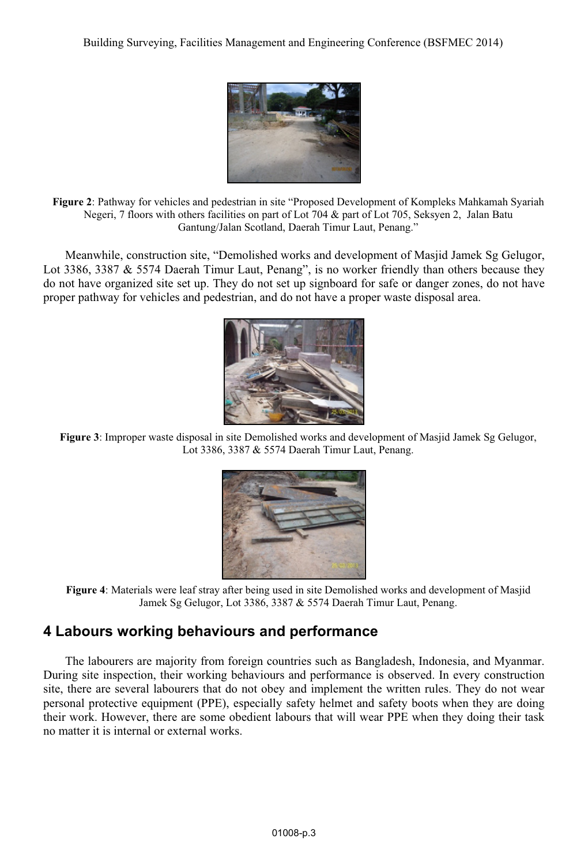

**Figure 2**: Pathway for vehicles and pedestrian in site "Proposed Development of Kompleks Mahkamah Syariah Negeri, 7 floors with others facilities on part of Lot 704 & part of Lot 705, Seksyen 2, Jalan Batu Gantung/Jalan Scotland, Daerah Timur Laut, Penang."

Meanwhile, construction site, "Demolished works and development of Masjid Jamek Sg Gelugor, Lot 3386, 3387 & 5574 Daerah Timur Laut, Penang", is no worker friendly than others because they do not have organized site set up. They do not set up signboard for safe or danger zones, do not have proper pathway for vehicles and pedestrian, and do not have a proper waste disposal area.



**Figure 3**: Improper waste disposal in site Demolished works and development of Masjid Jamek Sg Gelugor, Lot 3386, 3387 & 5574 Daerah Timur Laut, Penang.



**Figure 4**: Materials were leaf stray after being used in site Demolished works and development of Masjid Jamek Sg Gelugor, Lot 3386, 3387 & 5574 Daerah Timur Laut, Penang.

## **4 Labours working behaviours and performance**

The labourers are majority from foreign countries such as Bangladesh, Indonesia, and Myanmar. During site inspection, their working behaviours and performance is observed. In every construction site, there are several labourers that do not obey and implement the written rules. They do not wear personal protective equipment (PPE), especially safety helmet and safety boots when they are doing their work. However, there are some obedient labours that will wear PPE when they doing their task no matter it is internal or external works.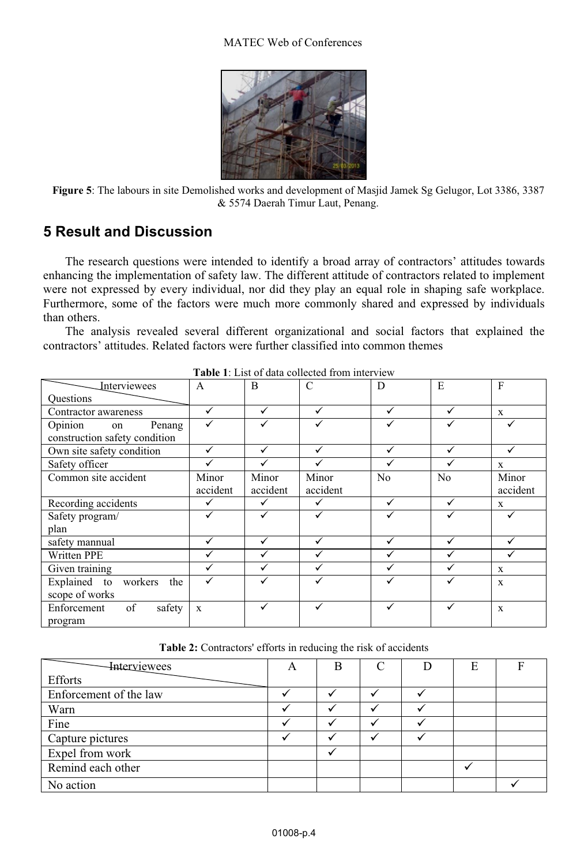#### MATEC Web of Conferences



**Figure 5**: The labours in site Demolished works and development of Masjid Jamek Sg Gelugor, Lot 3386, 3387 & 5574 Daerah Timur Laut, Penang.

## **5 Result and Discussion**

The research questions were intended to identify a broad array of contractors' attitudes towards enhancing the implementation of safety law. The different attitude of contractors related to implement were not expressed by every individual, nor did they play an equal role in shaping safe workplace. Furthermore, some of the factors were much more commonly shared and expressed by individuals than others.

The analysis revealed several different organizational and social factors that explained the contractors' attitudes. Related factors were further classified into common themes

| <b>Table 1.</b> List of data concetted from interview |          |          |              |    |              |              |  |
|-------------------------------------------------------|----------|----------|--------------|----|--------------|--------------|--|
| Interviewees                                          | A        | B        | C            | D  | E            | F            |  |
| <b>Ouestions</b>                                      |          |          |              |    |              |              |  |
| Contractor awareness                                  | ✓        |          | $\checkmark$ | ✓  | $\checkmark$ | X            |  |
| Penang<br>Opinion<br>on                               |          |          |              |    |              |              |  |
| construction safety condition                         |          |          |              |    |              |              |  |
| Own site safety condition                             | ✓        | ✓        | ✓            | ✓  | ✓            | ✓            |  |
| Safety officer                                        |          |          |              |    |              | $\mathbf{x}$ |  |
| Common site accident                                  | Minor    | Minor    | Minor        | No | No           | Minor        |  |
|                                                       | accident | accident | accident     |    |              | accident     |  |
| Recording accidents                                   | ✓        | ✓        | ✓            | ✓  | ✓            | $\mathbf{X}$ |  |
| Safety program/                                       |          |          |              |    |              |              |  |
| plan                                                  |          |          |              |    |              |              |  |
| safety mannual                                        | ✓        | ✓        | ✓            | ✓  | ✓            |              |  |
| <b>Written PPE</b>                                    |          |          |              |    |              |              |  |
| Given training                                        |          |          |              |    |              | $\mathbf{x}$ |  |
| Explained<br>workers<br>the<br>to                     |          |          |              |    |              | $\mathbf{x}$ |  |
| scope of works                                        |          |          |              |    |              |              |  |
| of<br>Enforcement<br>safety                           | X        |          |              |    |              | X            |  |
| program                                               |          |          |              |    |              |              |  |

**Table 1**: List of data collected from interview

| <b>Table 2:</b> Contractors' efforts in reducing the risk of accidents |  |  |  |
|------------------------------------------------------------------------|--|--|--|
|                                                                        |  |  |  |

| Interviewees           | A | в | C | Ε |  |
|------------------------|---|---|---|---|--|
| Efforts                |   |   |   |   |  |
| Enforcement of the law |   |   |   |   |  |
| Warn                   |   |   |   |   |  |
| Fine                   |   |   |   |   |  |
| Capture pictures       |   |   |   |   |  |
| Expel from work        |   |   |   |   |  |
| Remind each other      |   |   |   |   |  |
| No action              |   |   |   |   |  |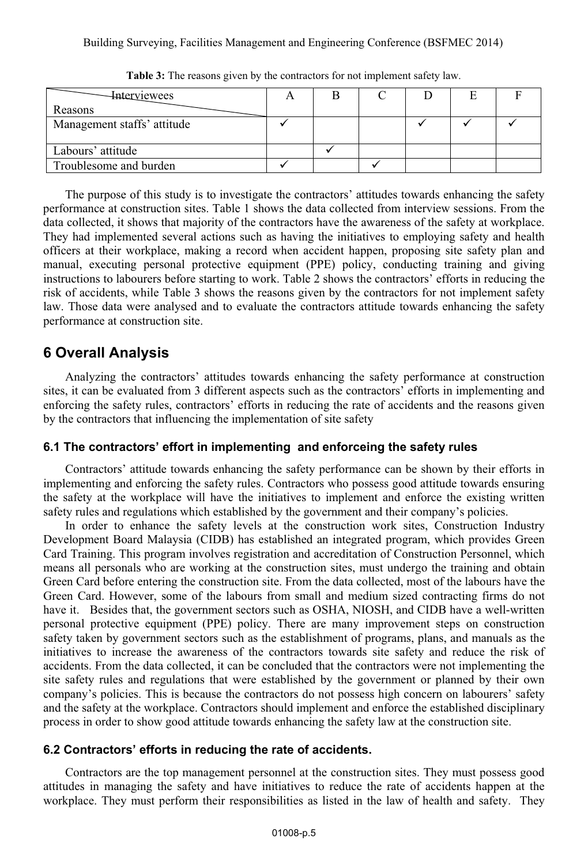| <i><u><b>Interviewees</b></u></i> |  |  |  |
|-----------------------------------|--|--|--|
| Reasons                           |  |  |  |
| Management staffs' attitude       |  |  |  |
| Labours' attitude                 |  |  |  |
| Troublesome and burden            |  |  |  |

**Table 3:** The reasons given by the contractors for not implement safety law.

The purpose of this study is to investigate the contractors' attitudes towards enhancing the safety performance at construction sites. Table 1 shows the data collected from interview sessions. From the data collected, it shows that majority of the contractors have the awareness of the safety at workplace. They had implemented several actions such as having the initiatives to employing safety and health officers at their workplace, making a record when accident happen, proposing site safety plan and manual, executing personal protective equipment (PPE) policy, conducting training and giving instructions to labourers before starting to work. Table 2 shows the contractors' efforts in reducing the risk of accidents, while Table 3 shows the reasons given by the contractors for not implement safety law. Those data were analysed and to evaluate the contractors attitude towards enhancing the safety performance at construction site.

### **6 Overall Analysis**

Analyzing the contractors' attitudes towards enhancing the safety performance at construction sites, it can be evaluated from 3 different aspects such as the contractors' efforts in implementing and enforcing the safety rules, contractors' efforts in reducing the rate of accidents and the reasons given by the contractors that influencing the implementation of site safety

### **6.1 The contractors' effort in implementing and enforceing the safety rules**

Contractors' attitude towards enhancing the safety performance can be shown by their efforts in implementing and enforcing the safety rules. Contractors who possess good attitude towards ensuring the safety at the workplace will have the initiatives to implement and enforce the existing written safety rules and regulations which established by the government and their company's policies.

In order to enhance the safety levels at the construction work sites, Construction Industry Development Board Malaysia (CIDB) has established an integrated program, which provides Green Card Training. This program involves registration and accreditation of Construction Personnel, which means all personals who are working at the construction sites, must undergo the training and obtain Green Card before entering the construction site. From the data collected, most of the labours have the Green Card. However, some of the labours from small and medium sized contracting firms do not have it. Besides that, the government sectors such as OSHA, NIOSH, and CIDB have a well-written personal protective equipment (PPE) policy. There are many improvement steps on construction safety taken by government sectors such as the establishment of programs, plans, and manuals as the initiatives to increase the awareness of the contractors towards site safety and reduce the risk of accidents. From the data collected, it can be concluded that the contractors were not implementing the site safety rules and regulations that were established by the government or planned by their own company's policies. This is because the contractors do not possess high concern on labourers' safety and the safety at the workplace. Contractors should implement and enforce the established disciplinary process in order to show good attitude towards enhancing the safety law at the construction site.

### **6.2 Contractors' efforts in reducing the rate of accidents.**

Contractors are the top management personnel at the construction sites. They must possess good attitudes in managing the safety and have initiatives to reduce the rate of accidents happen at the workplace. They must perform their responsibilities as listed in the law of health and safety. They